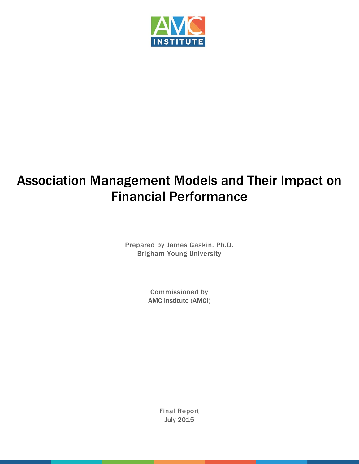

## Association Management Models and Their Impact on Financial Performance

Prepared by James Gaskin, Ph.D. Brigham Young University

> Commissioned by AMC Institute (AMCI)

> > Final Report July 2015